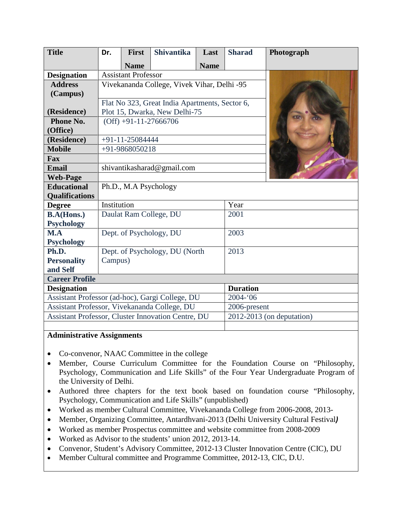| <b>Title</b>                                       | Dr.                                            | <b>First</b> | <b>Shivantika</b>       | Last        | <b>Sharad</b>   | Photograph                  |
|----------------------------------------------------|------------------------------------------------|--------------|-------------------------|-------------|-----------------|-----------------------------|
|                                                    |                                                | <b>Name</b>  |                         | <b>Name</b> |                 |                             |
| <b>Designation</b>                                 | <b>Assistant Professor</b>                     |              |                         |             |                 |                             |
| <b>Address</b>                                     | Vivekananda College, Vivek Vihar, Delhi -95    |              |                         |             |                 |                             |
| (Campus)                                           |                                                |              |                         |             |                 |                             |
|                                                    | Flat No 323, Great India Apartments, Sector 6, |              |                         |             |                 |                             |
| (Residence)                                        | Plot 15, Dwarka, New Delhi-75                  |              |                         |             |                 |                             |
| Phone No.                                          | $(Off) +91-11-27666706$                        |              |                         |             |                 |                             |
| (Office)                                           |                                                |              |                         |             |                 |                             |
| (Residence)                                        | $+91-11-25084444$                              |              |                         |             |                 |                             |
| <b>Mobile</b>                                      | +91-9868050218                                 |              |                         |             |                 |                             |
| Fax                                                |                                                |              |                         |             |                 |                             |
| <b>Email</b>                                       | shivantikasharad@gmail.com                     |              |                         |             |                 |                             |
| <b>Web-Page</b>                                    |                                                |              |                         |             |                 |                             |
| <b>Educational</b>                                 | Ph.D., M.A Psychology                          |              |                         |             |                 |                             |
| <b>Qualifications</b>                              |                                                |              |                         |             |                 |                             |
| <b>Degree</b>                                      | Institution                                    |              |                         |             | Year            |                             |
| <b>B.A(Hons.)</b>                                  |                                                |              | Daulat Ram College, DU  |             | 2001            |                             |
| <b>Psychology</b>                                  |                                                |              |                         |             |                 |                             |
| M.A                                                |                                                |              | Dept. of Psychology, DU |             | 2003            |                             |
| <b>Psychology</b>                                  |                                                |              |                         |             |                 |                             |
| Ph.D.                                              | Dept. of Psychology, DU (North                 |              |                         |             | 2013            |                             |
| <b>Personality</b>                                 | Campus)                                        |              |                         |             |                 |                             |
| and Self                                           |                                                |              |                         |             |                 |                             |
| <b>Career Profile</b>                              |                                                |              |                         |             |                 |                             |
| <b>Designation</b>                                 |                                                |              |                         |             | <b>Duration</b> |                             |
| Assistant Professor (ad-hoc), Gargi College, DU    |                                                |              |                         |             | $2004 - 06$     |                             |
| Assistant Professor, Vivekananda College, DU       |                                                |              |                         |             | 2006-present    |                             |
| Assistant Professor, Cluster Innovation Centre, DU |                                                |              |                         |             |                 | $2012-2013$ (on deputation) |
|                                                    |                                                |              |                         |             |                 |                             |

## **Administrative Assignments**

- Co-convenor, NAAC Committee in the college
- Member, Course Curriculum Committee for the Foundation Course on "Philosophy, Psychology, Communication and Life Skills" of the Four Year Undergraduate Program of the University of Delhi.
- Authored three chapters for the text book based on foundation course "Philosophy, Psychology, Communication and Life Skills" (unpublished)
- Worked as member Cultural Committee, Vivekananda College from 2006-2008, 2013-
- Member, Organizing Committee, Antardhvani-2013 (Delhi University Cultural Festival*)*
- Worked as member Prospectus committee and website committee from 2008-2009
- Worked as Advisor to the students' union 2012, 2013-14.
- Convenor, Student's Advisory Committee, 2012-13 Cluster Innovation Centre (CIC), DU
- Member Cultural committee and Programme Committee, 2012-13, CIC, D.U.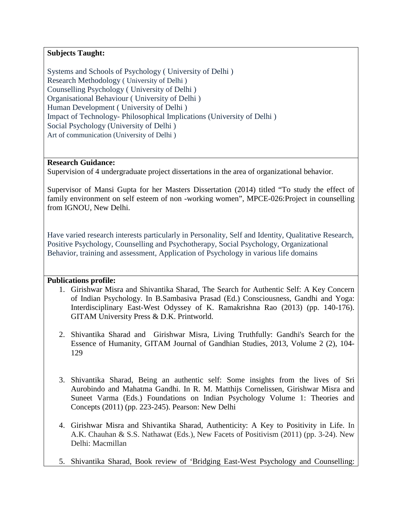## **Subjects Taught:**

Systems and Schools of Psychology ( University of Delhi ) Research Methodology ( University of Delhi ) Counselling Psychology ( University of Delhi ) Organisational Behaviour ( University of Delhi ) Human Development ( University of Delhi ) Impact of Technology- Philosophical Implications (University of Delhi ) Social Psychology (University of Delhi ) Art of communication (University of Delhi )

### **Research Guidance:**

Supervision of 4 undergraduate project dissertations in the area of organizational behavior.

Supervisor of Mansi Gupta for her Masters Dissertation (2014) titled "To study the effect of family environment on self esteem of non -working women", MPCE-026:Project in counselling from IGNOU, New Delhi.

Have varied research interests particularly in Personality, Self and Identity, Qualitative Research, Positive Psychology, Counselling and Psychotherapy, Social Psychology, Organizational Behavior, training and assessment, Application of Psychology in various life domains

#### **Publications profile:**

- 1. Girishwar Misra and Shivantika Sharad, The Search for Authentic Self: A Key Concern of Indian Psychology. In B.Sambasiva Prasad (Ed.) Consciousness, Gandhi and Yoga: Interdisciplinary East-West Odyssey of K. Ramakrishna Rao (2013) (pp. 140-176). GITAM University Press & D.K. Printworld.
- 2. Shivantika Sharad and Girishwar Misra, Living Truthfully: Gandhi's Search for the Essence of Humanity, GITAM Journal of Gandhian Studies, 2013, Volume 2 (2), 104- 129
- 3. Shivantika Sharad, Being an authentic self: Some insights from the lives of Sri Aurobindo and Mahatma Gandhi. In R. M. Matthijs Cornelissen, Girishwar Misra and Suneet Varma (Eds.) Foundations on Indian Psychology Volume 1: Theories and Concepts (2011) (pp. 223-245). Pearson: New Delhi
- 4. Girishwar Misra and Shivantika Sharad, Authenticity: A Key to Positivity in Life. In A.K. Chauhan & S.S. Nathawat (Eds.), New Facets of Positivism (2011) (pp. 3-24). New Delhi: Macmillan
- 5. Shivantika Sharad, Book review of 'Bridging East-West Psychology and Counselling: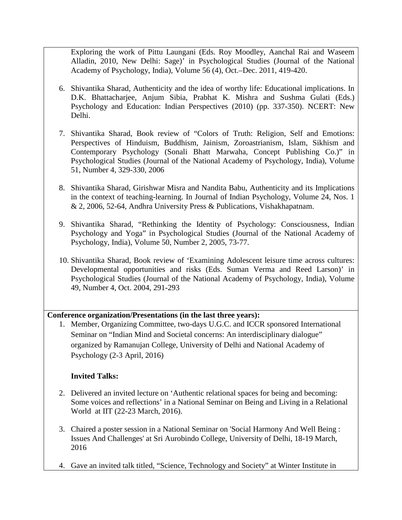Exploring the work of Pittu Laungani (Eds. Roy Moodley, Aanchal Rai and Waseem Alladin, 2010, New Delhi: Sage)' in Psychological Studies (Journal of the National Academy of Psychology, India), Volume 56 (4), Oct.–Dec. 2011, 419-420.

- 6. Shivantika Sharad, Authenticity and the idea of worthy life: Educational implications. In D.K. Bhattacharjee, Anjum Sibia, Prabhat K. Mishra and Sushma Gulati (Eds.) Psychology and Education: Indian Perspectives (2010) (pp. 337-350). NCERT: New Delhi.
- 7. Shivantika Sharad, Book review of "Colors of Truth: Religion, Self and Emotions: Perspectives of Hinduism, Buddhism, Jainism, Zoroastrianism, Islam, Sikhism and Contemporary Psychology (Sonali Bhatt Marwaha, Concept Publishing Co.)" in Psychological Studies (Journal of the National Academy of Psychology, India), Volume 51, Number 4, 329-330, 2006
- 8. Shivantika Sharad, Girishwar Misra and Nandita Babu, Authenticity and its Implications in the context of teaching-learning. In Journal of Indian Psychology, Volume 24, Nos. 1 & 2, 2006, 52-64, Andhra University Press & Publications, Vishakhapatnam.
- 9. Shivantika Sharad, "Rethinking the Identity of Psychology: Consciousness, Indian Psychology and Yoga" in Psychological Studies (Journal of the National Academy of Psychology, India), Volume 50, Number 2, 2005, 73-77.
- 10. Shivantika Sharad, Book review of 'Examining Adolescent leisure time across cultures: Developmental opportunities and risks (Eds. Suman Verma and Reed Larson)' in Psychological Studies (Journal of the National Academy of Psychology, India), Volume 49, Number 4, Oct. 2004, 291-293

## **Conference organization/Presentations (in the last three years):**

1. Member, Organizing Committee, two-days U.G.C. and ICCR sponsored International Seminar on "Indian Mind and Societal concerns: An interdisciplinary dialogue" organized by Ramanujan College, University of Delhi and National Academy of Psychology (2-3 April, 2016)

# **Invited Talks:**

- 2. Delivered an invited lecture on 'Authentic relational spaces for being and becoming: Some voices and reflections' in a National Seminar on Being and Living in a Relational World at IIT (22-23 March, 2016).
- 3. Chaired a poster session in a National Seminar on 'Social Harmony And Well Being : Issues And Challenges' at Sri Aurobindo College, University of Delhi, 18-19 March, 2016
- 4. Gave an invited talk titled, "Science, Technology and Society" at Winter Institute in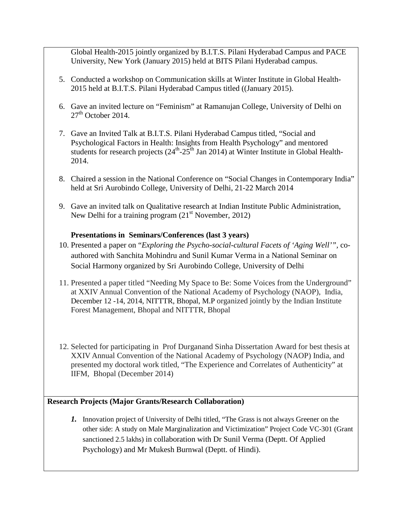Global Health-2015 jointly organized by B.I.T.S. Pilani Hyderabad Campus and PACE University, New York (January 2015) held at BITS Pilani Hyderabad campus.

- 5. Conducted a workshop on Communication skills at Winter Institute in Global Health-2015 held at B.I.T.S. Pilani Hyderabad Campus titled ((January 2015).
- 6. Gave an invited lecture on "Feminism" at Ramanujan College, University of Delhi on  $27<sup>th</sup>$  October 2014.
- 7. Gave an Invited Talk at B.I.T.S. Pilani Hyderabad Campus titled, "Social and Psychological Factors in Health: Insights from Health Psychology" and mentored students for research projects  $(24<sup>th</sup>-25<sup>th</sup>$  Jan 2014) at Winter Institute in Global Health-2014.
- 8. Chaired a session in the National Conference on "Social Changes in Contemporary India" held at Sri Aurobindo College, University of Delhi, 21-22 March 2014
- 9. Gave an invited talk on Qualitative research at Indian Institute Public Administration, New Delhi for a training program  $(21<sup>st</sup>$  November, 2012)

## **Presentations in Seminars/Conferences (last 3 years)**

- 10. Presented a paper on "*Exploring the Psycho-social-cultural Facets of 'Aging Well'",* coauthored with Sanchita Mohindru and Sunil Kumar Verma in a National Seminar on Social Harmony organized by Sri Aurobindo College, University of Delhi
- 11. Presented a paper titled "Needing My Space to Be: Some Voices from the Underground" at XXIV Annual Convention of the National Academy of Psychology (NAOP), India, December 12 -14, 2014, NITTTR, Bhopal, M.P organized jointly by the Indian Institute Forest Management, Bhopal and NITTTR, Bhopal
- 12. Selected for participating in Prof Durganand Sinha Dissertation Award for best thesis at XXIV Annual Convention of the National Academy of Psychology (NAOP) India, and presented my doctoral work titled, "The Experience and Correlates of Authenticity" at IIFM, Bhopal (December 2014)

# **Research Projects (Major Grants/Research Collaboration)**

*1.* Innovation project of University of Delhi titled, "The Grass is not always Greener on the other side: A study on Male Marginalization and Victimization" Project Code VC-301 (Grant sanctioned 2.5 lakhs) in collaboration with Dr Sunil Verma (Deptt. Of Applied Psychology) and Mr Mukesh Burnwal (Deptt. of Hindi).